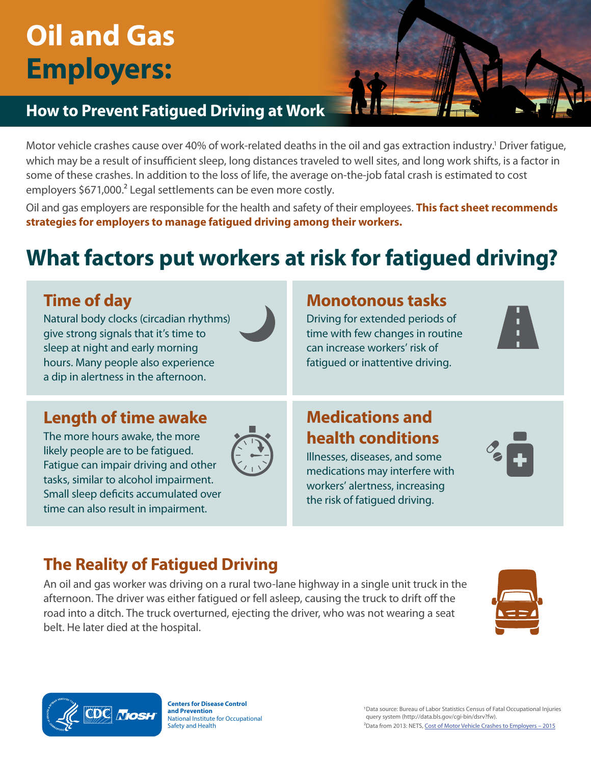# **Oil and Gas Employers:**

# **How to Prevent Fatigued Driving at Work**

Motor vehicle crashes cause over 40% of work-related deaths in the oil and gas extraction industry.<sup>1</sup> Driver fatigue, which may be a result of insufficient sleep, long distances traveled to well sites, and long work shifts, is a factor in some of these crashes. In addition to the loss of life, the average on-the-job fatal crash is estimated to cost employers \$671,000.<sup>2</sup> Legal settlements can be even more costly.

Oil and gas employers are responsible for the health and safety of their employees. **This fact sheet recommends strategies for employers to manage fatigued driving among their workers.**

# **What factors put workers at risk for fatigued driving?**

# **Time of day**

Natural body clocks (circadian rhythms) give strong signals that it's time to sleep at night and early morning hours. Many people also experience a dip in alertness in the afternoon.



### **Monotonous tasks**

Driving for extended periods of time with few changes in routine can increase workers' risk of fatigued or inattentive driving.



### **Length of time awake**

The more hours awake, the more likely people are to be fatigued. Fatigue can impair driving and other tasks, similar to alcohol impairment. Small sleep deficits accumulated over time can also result in impairment.



### **Medications and health conditions**

Illnesses, diseases, and some medications may interfere with workers' alertness, increasing the risk of fatigued driving.



# **The Reality of Fatigued Driving**

An oil and gas worker was driving on a rural two-lane highway in a single unit truck in the afternoon. The driver was either fatigued or fell asleep, causing the truck to drift off the road into a ditch. The truck overturned, ejecting the driver, who was not wearing a seat belt. He later died at the hospital.





**Centers for Disease Control** 

**and Prevention Consults Control**<br>
1Data source: Bureau of Labor Statistics Census of Fatal Occupational Injuries<br>
1Data source: Bureau of Labor Statistics Census of Fatal Occupational Injuries<br>
1990 query system (http://d National Institute for Occupational **Accord Contract Contract Contract Contract** query system (http://data.bls.gov/cgi-bin/dsrv?fw).<br>A <sup>2</sup>Data from 2013: NETS. Cost of Motor Vehicle Crashe <sup>2</sup>Data from 2013: NETS, Cost of Motor Vehicle Crashes to Employers – 2015